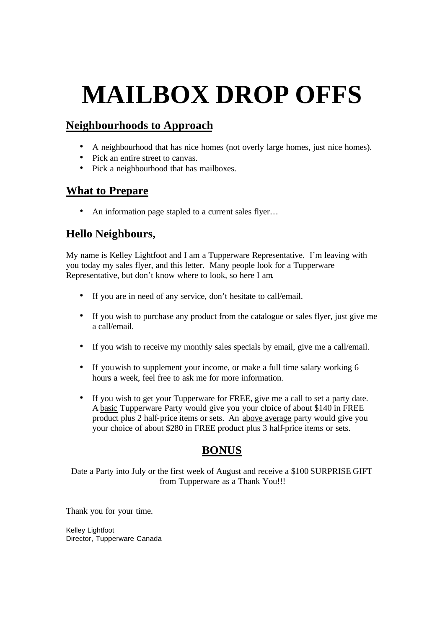# **MAILBOX DROP OFFS**

## **Neighbourhoods to Approach**

- A neighbourhood that has nice homes (not overly large homes, just nice homes).
- Pick an entire street to canvas.
- Pick a neighbourhood that has mailboxes.

## **What to Prepare**

• An information page stapled to a current sales flyer...

# **Hello Neighbours,**

My name is Kelley Lightfoot and I am a Tupperware Representative. I'm leaving with you today my sales flyer, and this letter. Many people look for a Tupperware Representative, but don't know where to look, so here I am.

- If you are in need of any service, don't hesitate to call/email.
- If you wish to purchase any product from the catalogue or sales flyer, just give me a call/email.
- If you wish to receive my monthly sales specials by email, give me a call/email.
- If you wish to supplement your income, or make a full time salary working 6 hours a week, feel free to ask me for more information.
- If you wish to get your Tupperware for FREE, give me a call to set a party date. A basic Tupperware Party would give you your choice of about \$140 in FREE product plus 2 half-price items or sets. An above average party would give you your choice of about \$280 in FREE product plus 3 half-price items or sets.

# **BONUS**

Date a Party into July or the first week of August and receive a \$100 SURPRISE GIFT from Tupperware as a Thank You!!!

Thank you for your time.

Kelley Lightfoot Director, Tupperware Canada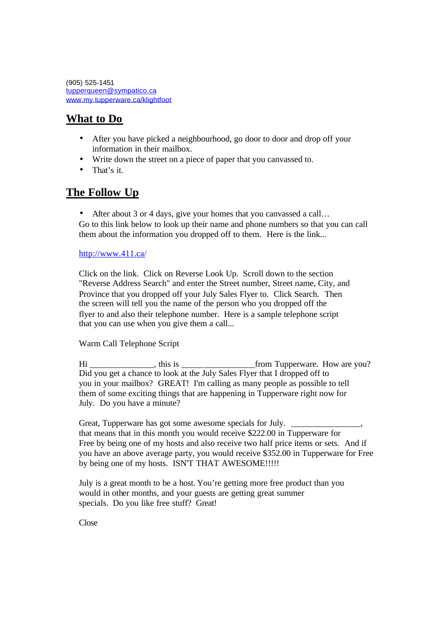(905) 525-1451 tupperqueen@sympatico.ca www.my.tupperware.ca/klightfoot

### **What to Do**

- After you have picked a neighbourhood, go door to door and drop off your information in their mailbox.
- Write down the street on a piece of paper that you canvassed to.
- That's it.

#### **The Follow Up**

After about 3 or 4 days, give your homes that you canvassed a call... Go to this link below to look up their name and phone numbers so that you can call them about the information you dropped off to them. Here is the link...

#### http://www.411.ca/

Click on the link. Click on Reverse Look Up. Scroll down to the section "Reverse Address Search" and enter the Street number, Street name, City, and Province that you dropped off your July Sales Flyer to. Click Search. Then the screen will tell you the name of the person who you dropped off the flyer to and also their telephone number. Here is a sample telephone script that you can use when you give them a call...

#### Warm Call Telephone Script

Hi \_\_\_\_\_\_\_\_\_\_\_\_\_\_\_, this is \_\_\_\_\_\_\_\_\_\_\_\_\_\_\_\_\_from Tupperware. How are you? Did you get a chance to look at the July Sales Flyer that I dropped off to you in your mailbox? GREAT! I'm calling as many people as possible to tell them of some exciting things that are happening in Tupperware right now for July. Do you have a minute?

Great, Tupperware has got some awesome specials for July. that means that in this month you would receive \$222.00 in Tupperware for Free by being one of my hosts and also receive two half price items or sets. And if you have an above average party, you would receive \$352.00 in Tupperware for Free by being one of my hosts. ISN'T THAT AWESOME!!!!!

July is a great month to be a host. You're getting more free product than you would in other months, and your guests are getting great summer specials. Do you like free stuff? Great!

**Close**